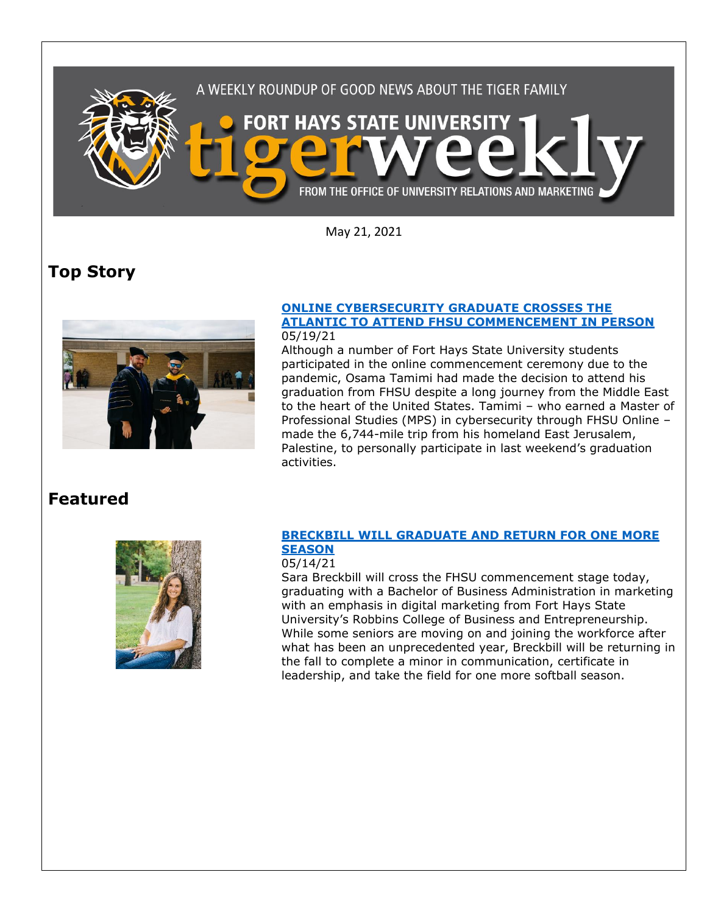

May 21, 2021

# **Top Story**



#### **[ONLINE CYBERSECURITY GRADUATE CROSSES THE](https://www.fhsu.edu/news/2021/05/online-cybersecurity-graduate-crosses-the-atlantic-to-attend-fhsu-commencement-in-person)  [ATLANTIC TO ATTEND FHSU COMMENCEMENT IN PERSON](https://www.fhsu.edu/news/2021/05/online-cybersecurity-graduate-crosses-the-atlantic-to-attend-fhsu-commencement-in-person)** 05/19/21

Although a number of Fort Hays State University students participated in the online commencement ceremony due to the pandemic, Osama Tamimi had made the decision to attend his graduation from FHSU despite a long journey from the Middle East to the heart of the United States. Tamimi – who earned a Master of Professional Studies (MPS) in cybersecurity through FHSU Online – made the 6,744-mile trip from his homeland East Jerusalem, Palestine, to personally participate in last weekend's graduation activities.

## **Featured**



### **[BRECKBILL WILL GRADUATE AND RETURN FOR ONE MORE](https://www.fhsu.edu/news/2021/05/breckbill-will-graduate-and-return-for-one-more-season)  [SEASON](https://www.fhsu.edu/news/2021/05/breckbill-will-graduate-and-return-for-one-more-season)**

#### 05/14/21

Sara Breckbill will cross the FHSU commencement stage today, graduating with a Bachelor of Business Administration in marketing with an emphasis in digital marketing from Fort Hays State University's Robbins College of Business and Entrepreneurship. While some seniors are moving on and joining the workforce after what has been an unprecedented year, Breckbill will be returning in the fall to complete a minor in communication, certificate in leadership, and take the field for one more softball season.